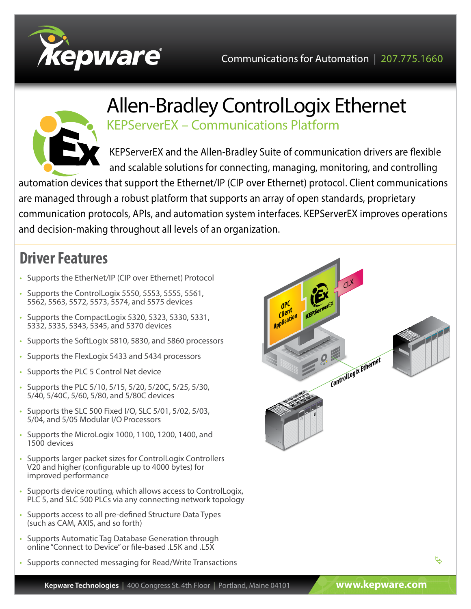



# Allen-Bradley ControlLogix Ethernet KEPServerEX – Communications Platform

KEPServerEX and the Allen-Bradley Suite of communication drivers are flexible and scalable solutions for connecting, managing, monitoring, and controlling

automation devices that support the Ethernet/IP (CIP over Ethernet) protocol. Client communications are managed through a robust platform that supports an array of open standards, proprietary communication protocols, APIs, and automation system interfaces. KEPServerEX improves operations and decision-making throughout all levels of an organization.

## **Driver Features**

- Supports the EtherNet/IP (CIP over Ethernet) Protocol
- Supports the ControlLogix 5550, 5553, 5555, 5561, 5562, 5563, 5572, 5573, 5574, and 5575 devices
- Supports the CompactLogix 5320, 5323, 5330, 5331, 5332, 5335, 5343, 5345, and 5370 devices
- Supports the SoftLogix 5810, 5830, and 5860 processors
- Supports the FlexLogix 5433 and 5434 processors
- Supports the PLC 5 Control Net device
- Supports the PLC 5/10, 5/15, 5/20, 5/20C, 5/25, 5/30, 5/40, 5/40C, 5/60, 5/80, and 5/80C devices
- Supports the SLC 500 Fixed I/O, SLC 5/01, 5/02, 5/03, 5/04, and 5/05 Modular I/O Processors
- Supports the MicroLogix 1000, 1100, 1200, 1400, and 1500 devices
- Supports larger packet sizes for ControlLogix Controllers V20 and higher (configurable up to 4000 bytes) for improved performance
- Supports device routing, which allows access to ControlLogix, PLC 5, and SLC 500 PLCs via any connecting network topology
- Supports access to all pre-defined Structure Data Types (such as CAM, AXIS, and so forth)
- Supports Automatic Tag Database Generation through online "Connect to Device" or file-based .L5K and .L5X
- Supports connected messaging for Read/Write Transactions